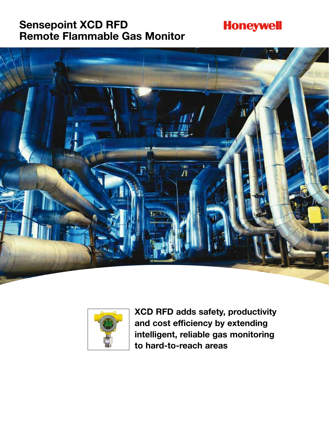### **Sensepoint XCD RFD Remote Flammable Gas Monitor**

# **Honeywell**





**XCD RFD adds safety, productivity and cost efficiency by extending intelligent, reliable gas monitoring to hard-to-reach areas**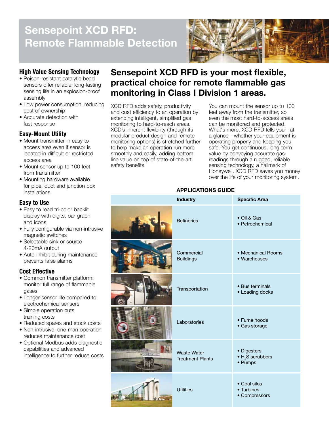# **Sensepoint XCD RFD: Remote Flammable Detection**



### **High Value Sensing Technology**

- Poison-resistant catalytic bead sensors offer reliable, long-lasting sensing life in an explosion-proof assembly
- Low power consumption, reducing cost of ownership
- Accurate detection with fast response

### **Easy-Mount Utility**

- Mount transmitter in easy to access area even if sensor is located in difficult or restricted access area
- Mount sensor up to 100 feet from transmitter
- Mounting hardware available for pipe, duct and junction box installations

### **Easy to Use**

- Easy to read tri-color backlit display with digits, bar graph and icons
- Fully configurable via non-intrusive magnetic switches
- Selectable sink or source 4-20mA output
- Auto-inhibit during maintenance prevents false alarms

### **Cost Effective**

- Common transmitter platform: monitor full range of flammable gases
- Longer sensor life compared to electrochemical sensors
- Simple operation cuts training costs
- Reduced spares and stock costs
- Non-intrusive, one-man operation reduces maintenance cost • Optional Modbus adds diagnostic
- capabilities and advanced intelligence to further reduce costs

### **Sensepoint XCD RFD is your most flexible, practical choice for remote flammable gas monitoring in Class I Division 1 areas.**

XCD RFD adds safety, productivity and cost efficiency to an operation by extending intelligent, simplified gas monitoring to hard-to-reach areas. XCD's inherent flexibility (through its modular product design and remote monitoring options) is stretched further to help make an operation run more smoothly and easily, adding bottom line value on top of state-of-the-art safety benefits.

You can mount the sensor up to 100 feet away from the transmitter, so even the most hard-to-access areas can be monitored and protected. What's more, XCD RFD tells you—at a glance—whether your equipment is operating properly and keeping you safe. You get continuous, long-term value by conveying accurate gas readings through a rugged, reliable sensing technology, a hallmark of Honeywell. XCD RFD saves you money over the life of your monitoring system.

|     | <b>Industry</b>                               | <b>Specific Area</b>                                           |
|-----|-----------------------------------------------|----------------------------------------------------------------|
|     | <b>Refineries</b>                             | • Oil & Gas<br>• Petrochemical                                 |
|     | Commercial<br><b>Buildings</b>                | • Mechanical Rooms<br>• Warehouses                             |
|     | Transportation                                | • Bus terminals<br>• Loading docks                             |
|     | Laboratories                                  | • Fume hoods<br>• Gas storage                                  |
| - 4 | <b>Waste Water</b><br><b>Treatment Plants</b> | • Digesters<br>$\bullet$ H <sub>2</sub> S scrubbers<br>• Pumps |
|     | <b>Utilities</b>                              | • Coal silos<br>• Turbines<br>• Compressors                    |

### **APPLICATIONS GUIDE**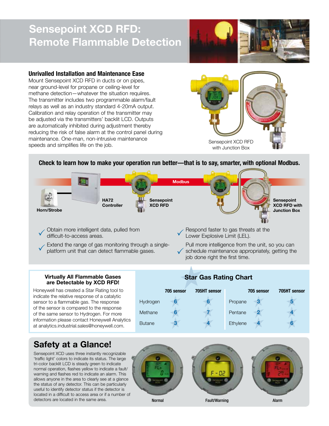## **Sensepoint XCD RFD: Remote Flammable Detection**



### **Unrivalled Installation and Maintenance Ease**

Mount Sensepoint XCD RFD in ducts or on pipes, near ground-level for propane or ceiling-level for methane detection—whatever the situation requiires. The transmitter includes two programmable alarm/fault relays as well as an industry standard 4-20mA output. Calibration and relay operation of the transmitter may be adjusted via the transmitters' backlit LCD. Outputs are automatically inhibited during adjustment thereby reducing the risk of false alarm at the control panel during maintenance. One-man, non-intrusive maintenance speeds and simplifies life on the job.



### **Check to learn how to make your operation run better—that is to say, smarter, with optional Modbus.**



6<br>6<br>3

Methane **6 7**

**Butane** 

Hydrogen **6 6**

Obtain more intelligent data, pulled from difficult-to-access areas.

Extend the range of gas monitoring through a singleplatform unit that can detect flammable gases.

Respond faster to gas threats at the Lower Explosive Limit (LEL).

Pull more intelligence from the unit, so you can  $\checkmark$  schedule maintenance appropriately, getting the isolation single intervalse from the first time. job done right the first time.

Propane 3

**Pentane** 

**Ethylene** 

 $\begin{array}{c}\n 3 \\
 2 \\
 4\n \end{array}$ 

 $\begin{array}{c}\n5 \\
4 \\
6\n\end{array}$ 

**705 sensor 705HT sensor**

**Virtually All Flammable Gases**<br> **Star Gas Rating Chart**<br> **Star Gas Rating Chart**<br> **are Detectable by XCD RFD!**<br>
Well has created a Star Rating tool to<br>
the relative response of a catalytic<br> **are Star 705 sensor** 705HT sen Honeywell has created a Star Rating tool to indicate the relative response of a catalytic sensor to a flammable gas. The response of the sensor is compared to the response of the same sensor to Hydrogen. For more information please contact Honeywell Analytics at analytics.industrial.sales@honeywell.com.

### **Safety at a Glance!**

Sensepoint XCD uses three instantly recognizable 'traffic light' colors to indicate its status. The large tri-color backlit LCD is steady green to indicate normal operation, flashes yellow to indicate a fault/ warning and flashes red to indicate an alarm. This allows anyone in the area to clearly see at a glance the status of any detector. This can be particularly useful to identify detector status if the detector is located in a difficult to access area or if a number of



 $\begin{array}{c|c}\n6 & 7 \\
4 & 4\n\end{array}$ 

**705 sensor 705HT sensor**